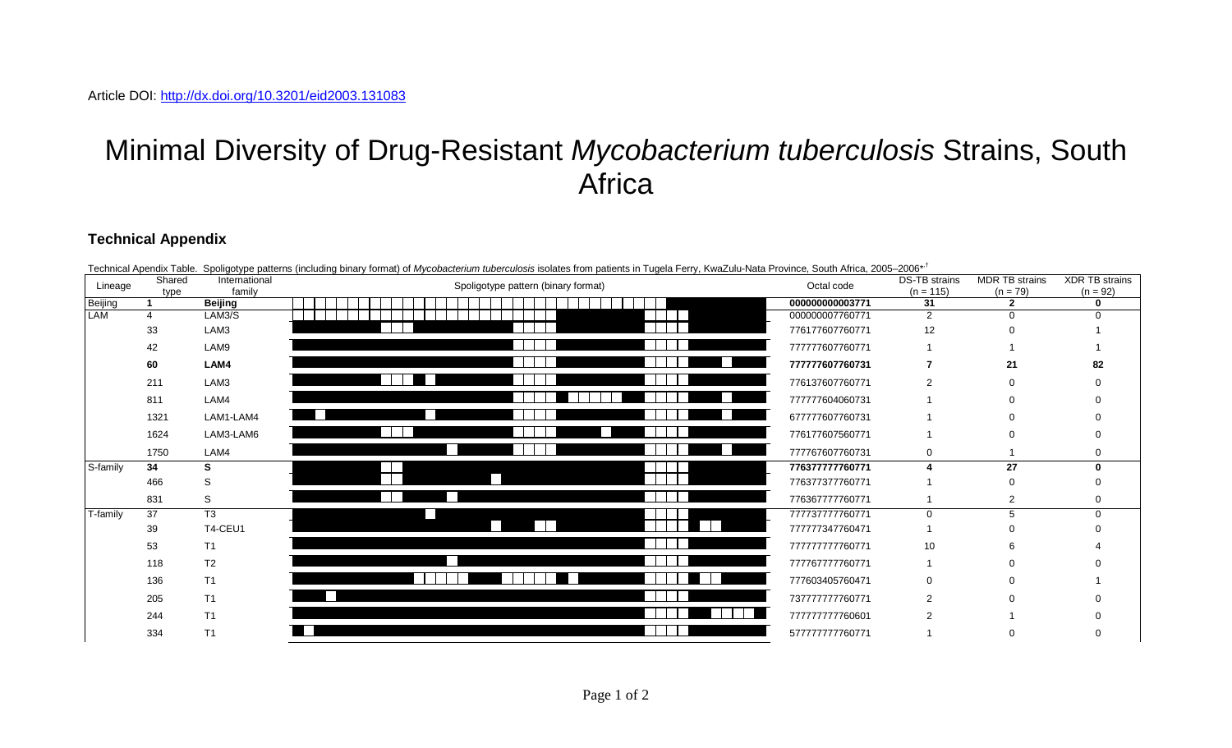## Minimal Diversity of Drug-Resistant *Mycobacterium tuberculosis* Strains, South **Africa**

## **Technical Appendix**

| Lineage    | Shared<br>type | International<br>family | Spoligotype pattern (binary format) | Octal code      | DS-TB strains<br>$(n = 115)$ | MDR TB strains<br>$(n = 79)$ | <b>XDR TB strains</b><br>$(n = 92)$ |
|------------|----------------|-------------------------|-------------------------------------|-----------------|------------------------------|------------------------------|-------------------------------------|
| Beijing    |                | <b>Beijing</b>          |                                     | 000000000003771 | 31                           | $\overline{2}$               | ∩                                   |
| <b>LAM</b> |                | LAM3/S                  |                                     | 000000007760771 | $\mathcal{P}$                |                              |                                     |
|            | 33             | LAM3                    |                                     | 776177607760771 | 12                           |                              |                                     |
|            | 42             | LAM9                    |                                     | 77777607760771  |                              |                              |                                     |
|            | 60             | LAM4                    |                                     | 77777607760731  |                              | 21                           | 82                                  |
|            | 211            | LAM3                    |                                     | 776137607760771 |                              |                              |                                     |
|            | 811            | LAM4                    |                                     | 77777604060731  |                              |                              |                                     |
|            | 1321           | LAM1-LAM4               |                                     | 677777607760731 |                              |                              |                                     |
|            | 1624           | LAM3-LAM6               |                                     | 776177607560771 |                              |                              |                                     |
|            | 1750           | LAM4                    |                                     | 777767607760731 | $\Omega$                     |                              |                                     |
| S-family   | 34             |                         |                                     | 776377777760771 |                              | 27                           |                                     |
|            | 466            |                         |                                     | 776377377760771 |                              |                              |                                     |
|            | 831            | S                       |                                     | 776367777760771 |                              |                              |                                     |
| T-family   | 37             | T <sub>3</sub>          |                                     | 77737777760771  |                              |                              |                                     |
|            | 39             | T4-CEU1                 |                                     | 777777347760471 |                              |                              |                                     |
|            | 53             | T1                      |                                     | 77777777760771  | 10                           |                              |                                     |
|            | 118            | T <sub>2</sub>          |                                     | 777767777760771 |                              |                              |                                     |
|            | 136            | T1                      |                                     | 777603405760471 |                              |                              |                                     |
|            | 205            | T1                      |                                     | 737777777760771 |                              |                              |                                     |
|            | 244            | T1                      |                                     | 77777777760601  |                              |                              |                                     |
|            | 334            | T1                      |                                     | 577777777760771 |                              |                              |                                     |

Technical Apendix Table. Spoligotype patterns (including binary format) of *Mycobacterium tuberculosis* isolates from patients in Tugela Ferry, KwaZulu-Nata Province, South Africa, 2005–2006\*,†